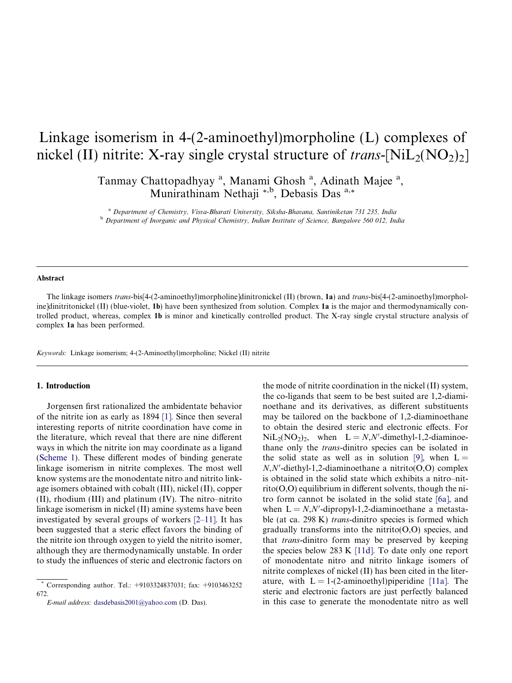# Linkage isomerism in 4-(2-aminoethyl)morpholine (L) complexes of nickel (II) nitrite: X-ray single crystal structure of *trans*-[NiL<sub>2</sub>(NO<sub>2</sub>)<sub>2</sub>]

Tanmay Chattopadhyay<sup>a</sup>, Manami Ghosh<sup>a</sup>, Adinath Majee<sup>a</sup>, Munirathinam Nethaji \*,b, Debasis Das a,\*

<sup>a</sup> *Department of Chemistry, Visva-Bharati University, Siksha-Bhavana, Santiniketan 731 235, India* <sup>b</sup> *Department of Inorganic and Physical Chemistry, Indian Institute of Science, Bangalore 560 012, India*

#### Abstract

The linkage isomers *trans*-bis<sup>[4-(2-aminoethyl)morpholine]dinitronickel (II) (brown, 1a) and *trans*-bis<sup>[4-(2-aminoethyl)morphol-</sup></sup> ine]dinitritonickel (II) (blue-violet, 1b) have been synthesized from solution. Complex 1a is the major and thermodynamically controlled product, whereas, complex 1b is minor and kinetically controlled product. The X-ray single crystal structure analysis of complex 1a has been performed.

*Keywords:* Linkage isomerism; 4-(2-Aminoethyl)morpholine; Nickel (II) nitrite

#### 1. Introduction

Jorgensen first rationalized the ambidentate behavior of the nitrite ion as early as 1894 [1]. Since then several interesting reports of nitrite coordination have come in the literature, which reveal that there are nine different ways in which the nitrite ion may coordinate as a ligand (Scheme 1). These different modes of binding generate linkage isomerism in nitrite complexes. The most well know systems are the monodentate nitro and nitrito linkage isomers obtained with cobalt (III), nickel (II), copper (II), rhodium (III) and platinum (IV). The nitro–nitrito linkage isomerism in nickel (II) amine systems have been investigated by several groups of workers [2–11]. It has been suggested that a steric effect favors the binding of the nitrite ion through oxygen to yield the nitrito isomer, although they are thermodynamically unstable. In order to study the influences of steric and electronic factors on

the mode of nitrite coordination in the nickel (II) system, the co-ligands that seem to be best suited are 1,2-diaminoethane and its derivatives, as different substituents may be tailored on the backbone of 1,2-diaminoethane to obtain the desired steric and electronic effects. For  $NiL_2(NO_2)_2$ , when  $L = N, N'$ -dimethyl-1,2-diaminoethane only the *trans*-dinitro species can be isolated in the solid state as well as in solution [9], when  $L =$  $N$ , $N'$ -diethyl-1,2-diaminoethane a nitrito(O,O) complex is obtained in the solid state which exhibits a nitro–nit- $\text{rito}(O,O)$  equilibrium in different solvents, though the nitro form cannot be isolated in the solid state [6a], and when  $L = N$ , $N'$ -dipropyl-1,2-diaminoethane a metastable (at ca. 298 K) *trans*-dinitro species is formed which gradually transforms into the nitrito( $O$ , $O$ ) species, and that *trans*-dinitro form may be preserved by keeping the species below 283 K [11d]. To date only one report of monodentate nitro and nitrito linkage isomers of nitrite complexes of nickel (II) has been cited in the literature, with  $L = 1-(2$ -aminoethyl) piperidine [11a]. The steric and electronic factors are just perfectly balanced in this case to generate the monodentate nitro as well

<sup>\*</sup> Corresponding author. Tel.: +9103324837031; fax: +9103463252 672.

*E-mail address:* dasdebasis2001@yahoo.com (D. Das).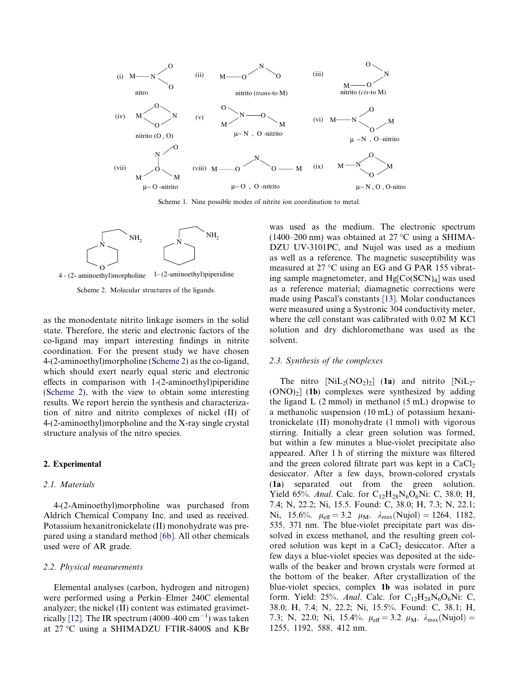

Scheme 1. Nine possible modes of nitrite ion coordination to metal.



4 - (2- aminoethyl)morpholine 1- (2-aminoethyl)piperidine

Scheme 2. Molecular structures of the ligands.

as the monodentate nitrito linkage isomers in the solid state. Therefore, the steric and electronic factors of the co-ligand may impart interesting findings in nitrite coordination. For the present study we have chosen 4-(2-aminoethyl)morpholine (Scheme 2) as the co-ligand, which should exert nearly equal steric and electronic effects in comparison with 1-(2-aminoethyl)piperidine (Scheme 2), with the view to obtain some interesting results. We report herein the synthesis and characterization of nitro and nitrito complexes of nickel (II) of 4-(2-aminoethyl)morpholine and the X-ray single crystal structure analysis of the nitro species.

# 2. Experimental

## *2.1. Materials*

4-(2-Aminoethyl)morpholine was purchased from Aldrich Chemical Company Inc. and used as received. Potassium hexanitronickelate (II) monohydrate was prepared using a standard method [6b]. All other chemicals used were of AR grade.

### *2.2. Physical measurements*

Elemental analyses (carbon, hydrogen and nitrogen) were performed using a Perkin–Elmer 240C elemental analyzer; the nickel (II) content was estimated gravimetrically [12]. The IR spectrum (4000–400 cm<sup>-1</sup>) was taken at 27 °C using a SHIMADZU FTIR-8400S and KBr

was used as the medium. The electronic spectrum  $(1400-200 \text{ nm})$  was obtained at 27 °C using a SHIMA-DZU UV-3101PC, and Nujol was used as a medium as well as a reference. The magnetic susceptibility was measured at 27 °C using an EG and G PAR 155 vibrating sample magnetometer, and  $Hg[Co(SCN)<sub>4</sub>]$  was used as a reference material; diamagnetic corrections were made using Pascal's constants [13]. Molar conductances were measured using a Systronic 304 conductivity meter, where the cell constant was calibrated with 0.02 M KCl solution and dry dichloromethane was used as the solvent.

#### *2.3. Synthesis of the complexes*

The nitro  $[NiL_2(NO_2)_2]$  (1a) and nitrito  $[NiL_2 (ONO)<sub>2</sub>$ ] (1b) complexes were synthesized by adding the ligand  $L$  (2 mmol) in methanol (5 mL) dropwise to a methanolic suspension (10 mL) of potassium hexanitronickelate (II) monohydrate (1 mmol) with vigorous stirring. Initially a clear green solution was formed, but within a few minutes a blue-violet precipitate also appeared. After 1 h of stirring the mixture was filtered and the green colored filtrate part was kept in a  $CaCl<sub>2</sub>$ desiccator. After a few days, brown-colored crystals (1a) separated out from the green solution. Yield 65%. *Anal*. Calc. for C<sub>12</sub>H<sub>28</sub>N<sub>6</sub>O<sub>6</sub>Ni: C, 38.0; H, 7.4; N, 22.2; Ni, 15.5. Found: C, 38.0; H, 7.3; N, 22.1; Ni, 15.6%.  $\mu_{\text{eff}} = 3.2 \mu_{\text{M}}$ .  $\lambda_{\text{max}}(\text{Nujol}) = 1264$ , 1182, 535; 371 nm. The blue-violet precipitate part was dissolved in excess methanol, and the resulting green colored solution was kept in a CaCl<sub>2</sub> desiccator. After a few days a blue-violet species was deposited at the sidewalls of the beaker and brown crystals were formed at the bottom of the beaker. After crystallization of the blue-violet species, complex 1b was isolated in pure form. Yield:  $25\%$ . *Anal*. Calc. for C<sub>12</sub>H<sub>28</sub>N<sub>6</sub>O<sub>6</sub>Ni: C, 38.0; H, 7.4; N, 22.2; Ni, 15.5%. Found: C, 38.1; H, 7.3; N, 22.0; Ni, 15.4%.  $\mu_{\text{eff}} = 3.2 \mu_{\text{M}}$ .  $\lambda_{\text{max}}(\text{Nujol}) =$ 1255; 1192; 588; 412 nm.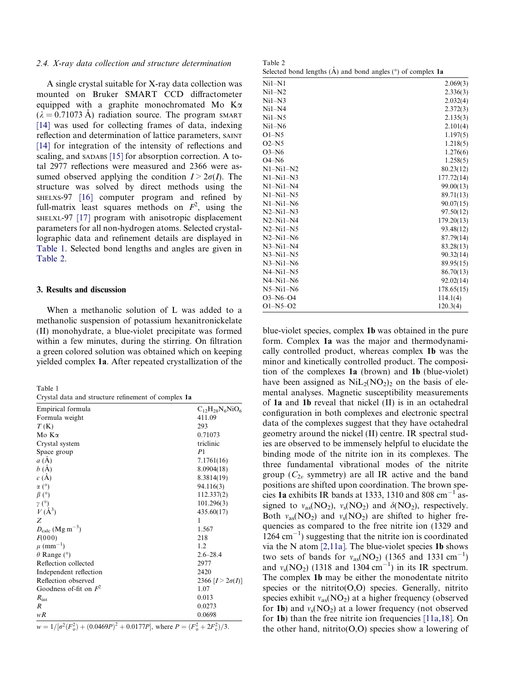# *2.4. X-ray data collection and structure determination*

A single crystal suitable for X-ray data collection was mounted on Bruker SMART CCD diffractometer equipped with a graphite monochromated Mo Ka  $(\lambda = 0.71073 \text{ Å})$  radiation source. The program SMART [14] was used for collecting frames of data, indexing reflection and determination of lattice parameters, SAINT [14] for integration of the intensity of reflections and scaling, and SADABS [15] for absorption correction. A total 2977 reflections were measured and 2366 were assumed observed applying the condition  $I > 2\sigma(I)$ . The structure was solved by direct methods using the SHELXS-97 [16] computer program and refined by full-matrix least squares methods on  $F^2$ , using the SHELXL-97 [17] program with anisotropic displacement parameters for all non-hydrogen atoms. Selected crystallographic data and refinement details are displayed in Table 1. Selected bond lengths and angles are given in Table 2.

## 3. Results and discussion

When a methanolic solution of L was added to a methanolic suspension of potassium hexanitronickelate (II) monohydrate, a blue-violet precipitate was formed within a few minutes, during the stirring. On filtration a green colored solution was obtained which on keeping yielded complex 1a. After repeated crystallization of the

| ×. | ۰,<br>I |  |
|----|---------|--|
|    |         |  |

Crystal data and structure refinement of complex 1a

| Empirical formula                    | $C_{12}H_{28}N_6NiO_6$    |
|--------------------------------------|---------------------------|
| Formula weight                       | 411.09                    |
| T(K)                                 | 293                       |
| Mo Ka                                | 0.71073                   |
| Crystal system                       | triclinic                 |
| Space group                          | P <sub>1</sub>            |
| a(A)                                 | 7.1761(16)                |
| b(A)                                 | 8.0904(18)                |
| c(A)                                 | 8.3814(19)                |
| $\alpha$ (°)                         | 94.116(3)                 |
| $\beta$ (°)                          | 112.337(2)                |
| $\gamma$ (°)                         | 101.296(3)                |
| $V(\AA^3)$                           | 435.60(17)                |
| Z                                    | 1                         |
| $D_{\rm calc}$ (Mg m <sup>-3</sup> ) | 1.567                     |
| F(000)                               | 218                       |
| $\mu$ (mm <sup>-1</sup> )            | 1.2                       |
| $\theta$ Range ( $\degree$ )         | $2.6 - 28.4$              |
| Reflection collected                 | 2977                      |
| Independent reflection               | 2420                      |
| Reflection observed                  | 2366 [ $I > 2\sigma(I)$ ] |
| Goodness of-fit on $F^2$             | 1.07                      |
| $R_{\rm int}$                        | 0.013                     |
| $\boldsymbol{R}$                     | 0.0273                    |
| wR                                   | 0.0698                    |

 $w = 1/[\sigma^2(F_o^2) + (0.0469P)^2 + 0.0177P]$ , where  $P = (F_o^2 + 2F_c^2)/3$ .

Table 2 Selected bond lengths  $(\mathring{A})$  and bond angles  $(°)$  of complex 1a

| $Ni1-N1$    | 2.069(3)   |
|-------------|------------|
| $Ni1-N2$    | 2.336(3)   |
| $Ni1-N3$    | 2.032(4)   |
| $Ni1-N4$    | 2.372(3)   |
| $Ni1-N5$    | 2.135(3)   |
| $Ni1-N6$    | 2.101(4)   |
| $O1-N5$     | 1.197(5)   |
| $O2-N5$     | 1.218(5)   |
| $O3-N6$     | 1.276(6)   |
| $O4-N6$     | 1.258(5)   |
| $N1-Ni1-N2$ | 80.23(12)  |
| $N1-Ni1-N3$ | 177.72(14) |
| $N1-Ni1-N4$ | 99.00(13)  |
| $N1-Ni1-N5$ | 89.71(13)  |
| $N1-Ni1-N6$ | 90.07(15)  |
| $N2-Ni1-N3$ | 97.50(12)  |
| $N2-Ni1-N4$ | 179.20(13) |
| $N2-Ni1-N5$ | 93.48(12)  |
| $N2-Ni1-N6$ | 87.79(14)  |
| $N3-Ni1-N4$ | 83.28(13)  |
| $N3-Ni1-N5$ | 90.32(14)  |
| $N3-Ni1-N6$ | 89.95(15)  |
| $N4-Ni1-N5$ | 86.70(13)  |
| $N4-Ni1-N6$ | 92.02(14)  |
| $N5-Ni1-N6$ | 178.65(15) |
| $O3-N6-O4$  | 114.1(4)   |
| $O1-N5-O2$  | 120.3(4)   |

blue-violet species, complex 1b was obtained in the pure form. Complex 1a was the major and thermodynamically controlled product, whereas complex 1b was the minor and kinetically controlled product. The composition of the complexes 1a (brown) and 1b (blue-violet) have been assigned as  $NiL_2(NO_2)_2$  on the basis of elemental analyses. Magnetic susceptibility measurements of 1a and 1b reveal that nickel (II) is in an octahedral configuration in both complexes and electronic spectral data of the complexes suggest that they have octahedral geometry around the nickel (II) centre. IR spectral studies are observed to be immensely helpful to elucidate the binding mode of the nitrite ion in its complexes. The three fundamental vibrational modes of the nitrite group  $(C_{2v}$  symmetry) are all IR active and the band positions are shifted upon coordination. The brown species 1a exhibits IR bands at 1333, 1310 and 808  $\text{cm}^{-1}$  assigned to  $v_{\text{as}}(NO_2)$ ,  $v_{\text{s}}(NO_2)$  and  $\delta(NO_2)$ , respectively. Both  $v_{\text{as}}(NO_2)$  and  $v_{\text{s}}(NO_2)$  are shifted to higher frequencies as compared to the free nitrite ion (1329 and  $(1264 \text{ cm}^{-1})$  suggesting that the nitrite ion is coordinated via the N atom [2,11a]. The blue-violet species 1b shows two sets of bands for  $v_{\text{as}}(NO_2)$  (1365 and 1331 cm<sup>-1</sup>) and  $v_s(\text{NO}_2)$  (1318 and 1304 cm<sup>-1</sup>) in its IR spectrum. The complex 1b may be either the monodentate nitrito species or the nitrito $(0,0)$  species. Generally, nitrito species exhibit  $v_{\text{as}}(NO_2)$  at a higher frequency (observed for **1b**) and  $v_s(\text{NO}_2)$  at a lower frequency (not observed for 1b) than the free nitrite ion frequencies [11a,18]. On the other hand, nitrito( $O$ , $O$ ) species show a lowering of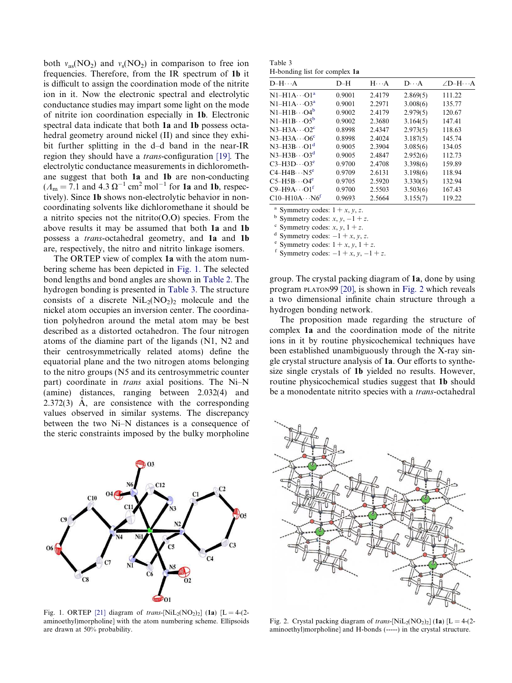both  $v_{as}(\text{NO}_2)$  and  $v_s(\text{NO}_2)$  in comparison to free ion frequencies. Therefore, from the IR spectrum of 1b it is difficult to assign the coordination mode of the nitrite ion in it. Now the electronic spectral and electrolytic conductance studies may impart some light on the mode of nitrite ion coordination especially in 1b. Electronic spectral data indicate that both 1a and 1b possess octahedral geometry around nickel (II) and since they exhibit further splitting in the d–d band in the near-IR region they should have a *trans*-configuration [19]. The electrolytic conductance measurements in dichloromethane suggest that both 1a and 1b are non-conducting  $(A<sub>m</sub> = 7.1$  and  $4.3 \Omega<sup>-1</sup>$  cm<sup>2</sup> mol<sup>-1</sup> for **1a** and **1b**, respectively). Since 1b shows non-electrolytic behavior in noncoordinating solvents like dichloromethane it should be a nitrito species not the nitrito( $O$ , $O$ ) species. From the above results it may be assumed that both 1a and 1b possess a *trans*-octahedral geometry, and 1a and 1b are, respectively, the nitro and nitrito linkage isomers.

The ORTEP view of complex 1a with the atom numbering scheme has been depicted in Fig. 1. The selected bond lengths and bond angles are shown in Table 2. The hydrogen bonding is presented in Table 3. The structure consists of a discrete  $\text{NiL}_2(\text{NO}_2)_2$  molecule and the nickel atom occupies an inversion center. The coordination polyhedron around the metal atom may be best described as a distorted octahedron. The four nitrogen atoms of the diamine part of the ligands (N1, N2 and their centrosymmetrically related atoms) define the equatorial plane and the two nitrogen atoms belonging to the nitro groups (N5 and its centrosymmetric counter part) coordinate in *trans* axial positions. The Ni–N (amine) distances, ranging between 2.032(4) and  $2.372(3)$  Å, are consistence with the corresponding values observed in similar systems. The discrepancy between the two Ni–N distances is a consequence of the steric constraints imposed by the bulky morpholine



Fig. 1. ORTEP [21] diagram of *trans*-[NiL<sub>2</sub>(NO<sub>2</sub>)<sub>2</sub>] (1a) [L = 4-(2aminoethyl)morpholine] with the atom numbering scheme. Ellipsoids are drawn at 50% probability.

Table 3 H-bonding list for complex 1a

| $D-H\cdots A$                  | $D-H$  | $H \cdot \cdot \cdot A$ | $D \cdot \cdot \cdot A$ | $\angle D$ -H $\cdots$ A |
|--------------------------------|--------|-------------------------|-------------------------|--------------------------|
| $N1-H1A\cdots O1^a$            | 0.9001 | 2.4179                  | 2.869(5)                | 111.22                   |
| $N1-H1A\cdots O3^a$            | 0.9001 | 2.2971                  | 3.008(6)                | 135.77                   |
| $N1-H1B\cdots O4^b$            | 0.9002 | 2.4179                  | 2.979(5)                | 120.67                   |
| $N1-H1B\cdots O5^b$            | 0.9002 | 2.3680                  | 3.164(5)                | 147.41                   |
| $N3-H3A\cdots O2^c$            | 0.8998 | 2.4347                  | 2.973(5)                | 118.63                   |
| $N3-H3A\cdots$ O6 <sup>c</sup> | 0.8998 | 2.4024                  | 3.187(5)                | 145.74                   |
| $N3-H3B\cdots O1^d$            | 0.9005 | 2.3904                  | 3.085(6)                | 134.05                   |
| $N3-H3B\cdots O3^d$            | 0.9005 | 2.4847                  | 2.952(6)                | 112.73                   |
| $C3-H3D\cdots O3^e$            | 0.9700 | 2.4708                  | 3.398(6)                | 159.89                   |
| $C4-H4B\cdots NS^e$            | 0.9709 | 2.6131                  | 3.198(6)                | 118.94                   |
| $C5-H5B\cdots O4^e$            | 0.9705 | 2.5920                  | 3.330(5)                | 132.94                   |
| $C9-H9A\cdots O1^t$            | 0.9700 | 2.5503                  | 3.503(6)                | 167.43                   |
| $C10-H10A\cdots N6r$           | 0.9693 | 2.5664                  | 3.155(7)                | 119.22                   |

<sup>a</sup> Symmetry codes:  $1 + x, y, z$ .

<sup>b</sup> Symmetry codes:  $x, y, -1 + z$ .

<sup>c</sup> Symmetry codes: *x*, *y*,  $1 + z$ .

<sup>d</sup> Symmetry codes:  $-1 + x$ , *y*, *z*.

<sup>e</sup> Symmetry codes:  $1 + x$ ,  $y$ ,  $1 + z$ .

f Symmetry codes:  $-1 + x$ ,  $y$ ,  $-1 + z$ .

group. The crystal packing diagram of 1a, done by using program PLATON99 [20], is shown in Fig. 2 which reveals a two dimensional infinite chain structure through a hydrogen bonding network.

The proposition made regarding the structure of complex 1a and the coordination mode of the nitrite ions in it by routine physicochemical techniques have been established unambiguously through the X-ray single crystal structure analysis of 1a. Our efforts to synthesize single crystals of 1b yielded no results. However, routine physicochemical studies suggest that 1b should be a monodentate nitrito species with a *trans*-octahedral



Fig. 2. Crystal packing diagram of *trans*-[ $\text{NiL}_2(\text{NO}_2)_2$ ] (1a) [L = 4-(2aminoethyl)morpholine] and H-bonds (-----) in the crystal structure.